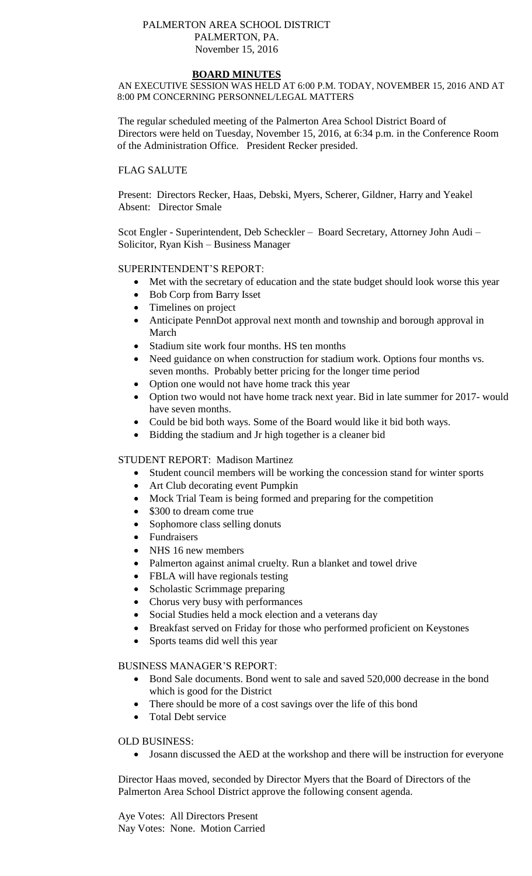#### PALMERTON AREA SCHOOL DISTRICT PALMERTON, PA. November 15, 2016

### **BOARD MINUTES**

AN EXECUTIVE SESSION WAS HELD AT 6:00 P.M. TODAY, NOVEMBER 15, 2016 AND AT 8:00 PM CONCERNING PERSONNEL/LEGAL MATTERS

The regular scheduled meeting of the Palmerton Area School District Board of Directors were held on Tuesday, November 15, 2016, at 6:34 p.m. in the Conference Room of the Administration Office. President Recker presided.

### FLAG SALUTE

Present: Directors Recker, Haas, Debski, Myers, Scherer, Gildner, Harry and Yeakel Absent: Director Smale

Scot Engler - Superintendent, Deb Scheckler – Board Secretary, Attorney John Audi – Solicitor, Ryan Kish – Business Manager

### SUPERINTENDENT'S REPORT:

- Met with the secretary of education and the state budget should look worse this year
- Bob Corp from Barry Isset
- Timelines on project
- Anticipate PennDot approval next month and township and borough approval in March
- Stadium site work four months. HS ten months
- Need guidance on when construction for stadium work. Options four months vs. seven months. Probably better pricing for the longer time period
- Option one would not have home track this year
- Option two would not have home track next year. Bid in late summer for 2017- would have seven months.
- Could be bid both ways. Some of the Board would like it bid both ways.
- Bidding the stadium and Jr high together is a cleaner bid

## STUDENT REPORT: Madison Martinez

- Student council members will be working the concession stand for winter sports
- Art Club decorating event Pumpkin
- Mock Trial Team is being formed and preparing for the competition
- \$300 to dream come true
- Sophomore class selling donuts
- Fundraisers
- NHS 16 new members
- Palmerton against animal cruelty. Run a blanket and towel drive
- FBLA will have regionals testing
- Scholastic Scrimmage preparing
- Chorus very busy with performances
- Social Studies held a mock election and a veterans day
- Breakfast served on Friday for those who performed proficient on Keystones
- Sports teams did well this year

### BUSINESS MANAGER'S REPORT:

- Bond Sale documents. Bond went to sale and saved 520,000 decrease in the bond which is good for the District
- There should be more of a cost savings over the life of this bond
- Total Debt service

### OLD BUSINESS:

Josann discussed the AED at the workshop and there will be instruction for everyone

Director Haas moved, seconded by Director Myers that the Board of Directors of the Palmerton Area School District approve the following consent agenda.

Aye Votes: All Directors Present Nay Votes: None. Motion Carried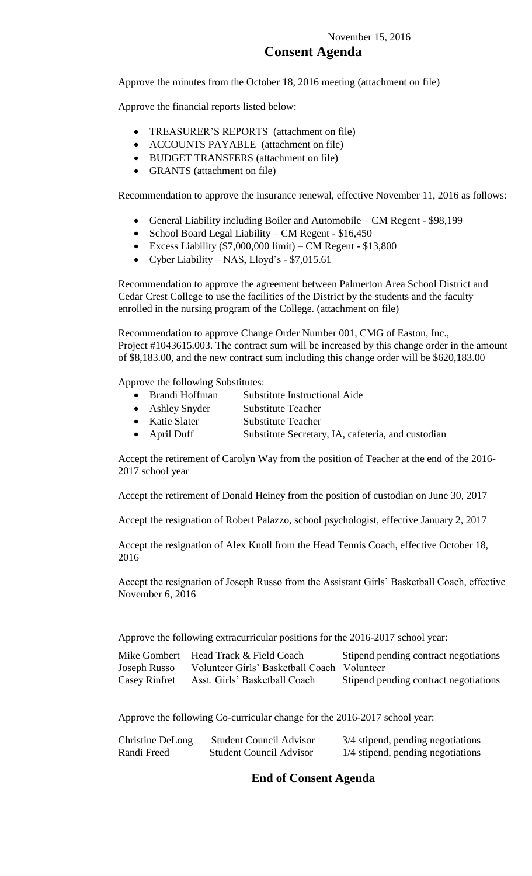# November 15, 2016 **Consent Agenda**

Approve the minutes from the October 18, 2016 meeting (attachment on file)

Approve the financial reports listed below:

- TREASURER'S REPORTS (attachment on file)
- ACCOUNTS PAYABLE (attachment on file)
- BUDGET TRANSFERS (attachment on file)
- GRANTS (attachment on file)

Recommendation to approve the insurance renewal, effective November 11, 2016 as follows:

- General Liability including Boiler and Automobile CM Regent \$98,199
- School Board Legal Liability CM Regent \$16,450
- Excess Liability  $(\$7,000,000$  limit) CM Regent  $\$13,800$
- Cyber Liability NAS, Lloyd's  $$7,015.61$

Recommendation to approve the agreement between Palmerton Area School District and Cedar Crest College to use the facilities of the District by the students and the faculty enrolled in the nursing program of the College. (attachment on file)

Recommendation to approve Change Order Number 001, CMG of Easton, Inc., Project #1043615.003. The contract sum will be increased by this change order in the amount of \$8,183.00, and the new contract sum including this change order will be \$620,183.00

Approve the following Substitutes:

- Brandi Hoffman Substitute Instructional Aide
- Ashley Snyder Substitute Teacher
- Katie Slater Substitute Teacher
- April Duff Substitute Secretary, IA, cafeteria, and custodian

Accept the retirement of Carolyn Way from the position of Teacher at the end of the 2016- 2017 school year

Accept the retirement of Donald Heiney from the position of custodian on June 30, 2017

Accept the resignation of Robert Palazzo, school psychologist, effective January 2, 2017

Accept the resignation of Alex Knoll from the Head Tennis Coach, effective October 18, 2016

Accept the resignation of Joseph Russo from the Assistant Girls' Basketball Coach, effective November 6, 2016

Approve the following extracurricular positions for the 2016-2017 school year:

|                      | Mike Gombert Head Track & Field Coach       | Stipend pending contract negotiations |
|----------------------|---------------------------------------------|---------------------------------------|
| Joseph Russo         | Volunteer Girls' Basketball Coach Volunteer |                                       |
| <b>Casey Rinfret</b> | Asst. Girls' Basketball Coach               | Stipend pending contract negotiations |

Approve the following Co-curricular change for the 2016-2017 school year:

| Christine DeLong | <b>Student Council Advisor</b> | 3/4 stipend, pending negotiations |
|------------------|--------------------------------|-----------------------------------|
| Randi Freed      | <b>Student Council Advisor</b> | 1/4 stipend, pending negotiations |

# **End of Consent Agenda**